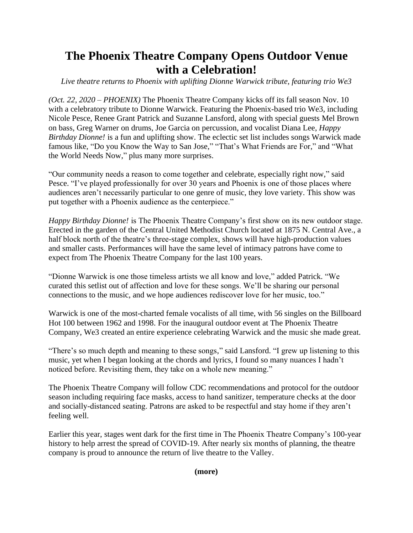## **The Phoenix Theatre Company Opens Outdoor Venue with a Celebration!**

*Live theatre returns to Phoenix with uplifting Dionne Warwick tribute, featuring trio We3*

*(Oct. 22, 2020 – PHOENIX)* The Phoenix Theatre Company kicks off its fall season Nov. 10 with a celebratory tribute to Dionne Warwick. Featuring the Phoenix-based trio We3, including Nicole Pesce, Renee Grant Patrick and Suzanne Lansford, along with special guests Mel Brown on bass, Greg Warner on drums, Joe Garcia on percussion, and vocalist Diana Lee, *Happy Birthday Dionne!* is a fun and uplifting show. The eclectic set list includes songs Warwick made famous like, "Do you Know the Way to San Jose," "That's What Friends are For," and "What the World Needs Now," plus many more surprises.

"Our community needs a reason to come together and celebrate, especially right now," said Pesce. "I've played professionally for over 30 years and Phoenix is one of those places where audiences aren't necessarily particular to one genre of music, they love variety. This show was put together with a Phoenix audience as the centerpiece."

*Happy Birthday Dionne!* is The Phoenix Theatre Company's first show on its new outdoor stage. Erected in the garden of the Central United Methodist Church located at 1875 N. Central Ave., a half block north of the theatre's three-stage complex, shows will have high-production values and smaller casts. Performances will have the same level of intimacy patrons have come to expect from The Phoenix Theatre Company for the last 100 years.

"Dionne Warwick is one those timeless artists we all know and love," added Patrick. "We curated this setlist out of affection and love for these songs. We'll be sharing our personal connections to the music, and we hope audiences rediscover love for her music, too."

Warwick is one of the most-charted female vocalists of all time, with 56 singles on the Billboard Hot 100 between 1962 and 1998. For the inaugural outdoor event at The Phoenix Theatre Company, We3 created an entire experience celebrating Warwick and the music she made great.

"There's so much depth and meaning to these songs," said Lansford. "I grew up listening to this music, yet when I began looking at the chords and lyrics, I found so many nuances I hadn't noticed before. Revisiting them, they take on a whole new meaning."

The Phoenix Theatre Company will follow CDC recommendations and protocol for the outdoor season including requiring face masks, access to hand sanitizer, temperature checks at the door and socially-distanced seating. Patrons are asked to be respectful and stay home if they aren't feeling well.

Earlier this year, stages went dark for the first time in The Phoenix Theatre Company's 100-year history to help arrest the spread of COVID-19. After nearly six months of planning, the theatre company is proud to announce the return of live theatre to the Valley.

**(more)**